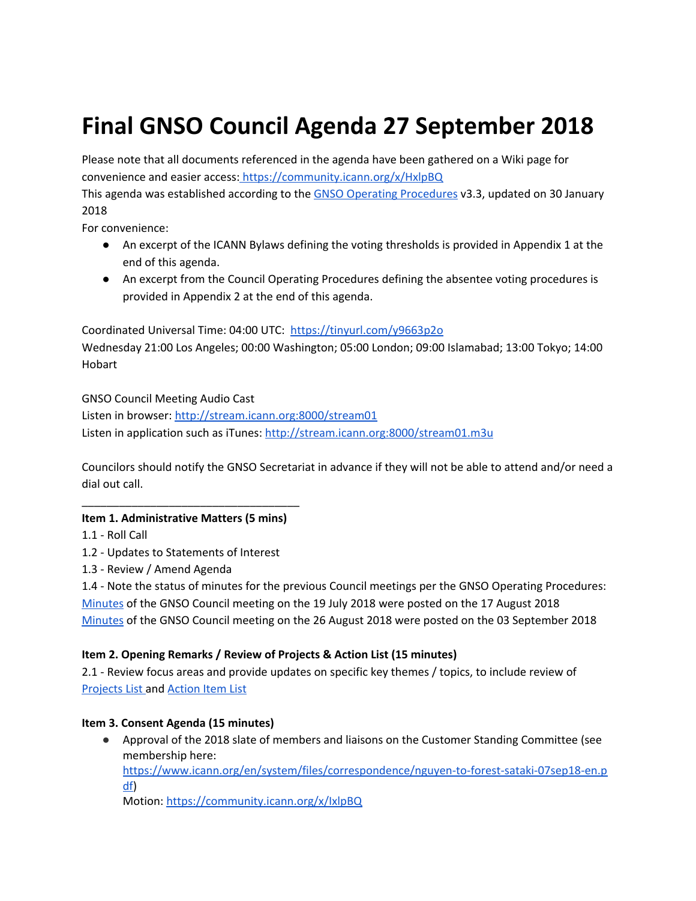# **Final GNSO Council Agenda 27 September 2018**

Please note that all documents referenced in the agenda have been gathered on a Wiki page for convenience and easier access: <https://community.icann.org/x/HxlpBQ>

This agenda was established according to the GNSO Operating [Procedures](https://gnso.icann.org/en/council/op-procedures-30jan18-en.pdf) v3.3, updated on 30 January 2018

For convenience:

- An excerpt of the ICANN Bylaws defining the voting thresholds is provided in Appendix 1 at the end of this agenda.
- An excerpt from the Council Operating Procedures defining the absentee voting procedures is provided in Appendix 2 at the end of this agenda.

Coordinated Universal Time: 04:00 UTC: <https://tinyurl.com/y9663p2o> Wednesday 21:00 Los Angeles; 00:00 Washington; 05:00 London; 09:00 Islamabad; 13:00 Tokyo; 14:00 Hobart

GNSO Council Meeting Audio Cast

Listen in browser: [http://stream.icann.org:8000/stream01](https://urldefense.proofpoint.com/v2/url?u=http-3A__stream.icann.org-3A8000_stream01&d=DwMGaQ&c=FmY1u3PJp6wrcrwll3mSVzgfkbPSS6sJms7xcl4I5cM&r=PDd_FX3f4MVgkEIi9GHvVoUhbecsvLhgsyXrxgtbL10DTBs0i1jYiBM_uTSDzgqG&m=zgkoT0MW1YpCkTwgoQvLp_0mNbhePduvejEhv08Bxmw&s=nojYo9ROhg_17vhA1Z8nMMegeVrn_AbybJWqtrSF7xw&e=) Listen in application such as iTunes: [http://stream.icann.org:8000/stream01.m3u](https://urldefense.proofpoint.com/v2/url?u=http-3A__stream.icann.org-3A8000_stream01.m3u&d=DwMGaQ&c=FmY1u3PJp6wrcrwll3mSVzgfkbPSS6sJms7xcl4I5cM&r=PDd_FX3f4MVgkEIi9GHvVoUhbecsvLhgsyXrxgtbL10DTBs0i1jYiBM_uTSDzgqG&m=zgkoT0MW1YpCkTwgoQvLp_0mNbhePduvejEhv08Bxmw&s=LfpPhkvBsAtGoBzibM6f2f6Gao4GH9_mOzkA0DCLluA&e=)

Councilors should notify the GNSO Secretariat in advance if they will not be able to attend and/or need a dial out call.

## \_\_\_\_\_\_\_\_\_\_\_\_\_\_\_\_\_\_\_\_\_\_\_\_\_\_\_\_\_\_\_\_\_\_\_ **Item 1. Administrative Matters (5 mins)**

1.1 - Roll Call

1.2 - Updates to Statements of Interest

1.3 - Review / Amend Agenda

1.4 - Note the status of minutes for the previous Council meetings per the GNSO Operating Procedures: [Minutes](https://gnso.icann.org/en/meetings/minutes-council-19jul18-en.pdf) of the GNSO Council meeting on the 19 July 2018 were posted on the 17 August 2018 [Minutes](https://gnso.icann.org/en/meetings/minutes-council-16aug18-en.pdf) of the GNSO Council meeting on the 26 August 2018 were posted on the 03 September 2018

## **Item 2. Opening Remarks / Review of Projects & Action List (15 minutes)**

2.1 - Review focus areas and provide updates on specific key themes / topics, to include review of [Projects](https://gnso.icann.org/en/council/project) List and [Action](https://community.icann.org/x/RgZlAg) Item List

## **Item 3. Consent Agenda (15 minutes)**

● Approval of the 2018 slate of members and liaisons on the Customer Standing Committee (see membership here:

[https://www.icann.org/en/system/files/correspondence/nguyen-to-forest-sataki-07sep18-en.p](https://www.icann.org/en/system/files/correspondence/nguyen-to-forest-sataki-07sep18-en.pdf) [df](https://www.icann.org/en/system/files/correspondence/nguyen-to-forest-sataki-07sep18-en.pdf))

Motion: <https://community.icann.org/x/IxlpBQ>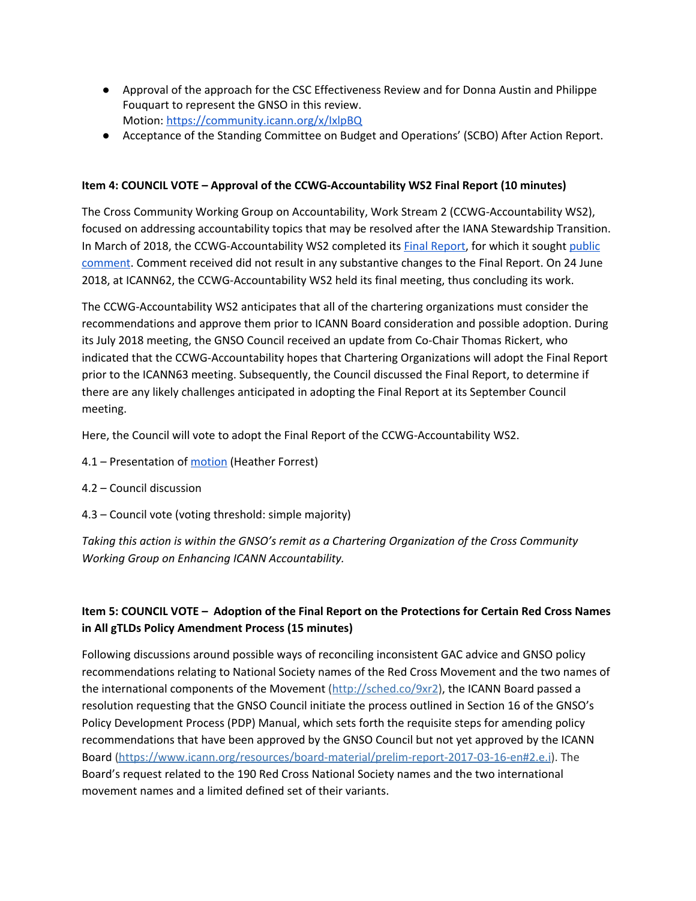- Approval of the approach for the CSC Effectiveness Review and for Donna Austin and Philippe Fouquart to represent the GNSO in this review. Motion: <https://community.icann.org/x/IxlpBQ>
- Acceptance of the Standing Committee on Budget and Operations' (SCBO) After Action Report.

### **Item 4: COUNCIL VOTE – Approval of the CCWG-Accountability WS2 Final Report (10 minutes)**

The Cross Community Working Group on Accountability, Work Stream 2 (CCWG-Accountability WS2), focused on addressing accountability topics that may be resolved after the IANA Stewardship Transition. In March of 2018, the CCWG-Accountability WS2 completed its [F](https://www.icann.org/en/system/files/files/ccwg-acct-ws2-final-27mar18-en.pdf)inal [Report,](https://www.icann.org/en/system/files/files/ccwg-acct-ws2-final-27mar18-en.pdf) for which it sought [public](https://www.icann.org/public-comments/ccwg-acct-ws2-final-2018-03-30-en) [comment.](https://www.icann.org/public-comments/ccwg-acct-ws2-final-2018-03-30-en) Comment received did not result in any substantive changes to the Final Report. On 24 June 2018, at ICANN62, the CCWG-Accountability WS2 held its final meeting, thus concluding its work.

The CCWG-Accountability WS2 anticipates that all of the chartering organizations must consider the recommendations and approve them prior to ICANN Board consideration and possible adoption. During its July 2018 meeting, the GNSO Council received an update from Co-Chair Thomas Rickert, who indicated that the CCWG-Accountability hopes that Chartering Organizations will adopt the Final Report prior to the ICANN63 meeting. Subsequently, the Council discussed the Final Report, to determine if there are any likely challenges anticipated in adopting the Final Report at its September Council meeting.

Here, the Council will vote to adopt the Final Report of the CCWG-Accountability WS2.

- 4.1 Presentation of [motion](https://community.icann.org/x/IxlpBQ) (Heather Forrest)
- 4.2 Council discussion
- 4.3 Council vote (voting threshold: simple majority)

*Taking this action is within the GNSO's remit as a Chartering Organization of the Cross Community Working Group on Enhancing ICANN Accountability.*

# **Item 5: COUNCIL VOTE – Adoption of the Final Report on the Protections for Certain Red Cross Names in All gTLDs Policy Amendment Process (15 minutes)**

Following discussions around possible ways of reconciling inconsistent GAC advice and GNSO policy recommendations relating to National Society names of the Red Cross Movement and the two names of the international components of the Movement [\(http://sched.co/9xr2\)](http://sched.co/9xr2)), the ICANN Board passed a resolution requesting that the GNSO Council initiate the process outlined in Section 16 of the GNSO's Policy Development Process (PDP) Manual, which sets forth the requisite steps for amending policy recommendations that have been approved by the GNSO Council but not yet approved by the ICANN Board [\(https://www.icann.org/resources/board-material/prelim-report-2017-03-16-en#2.e.i](https://www.icann.org/resources/board-material/prelim-report-2017-03-16-en#2.e.i))). The Board's request related to the 190 Red Cross National Society names and the two international movement names and a limited defined set of their variants.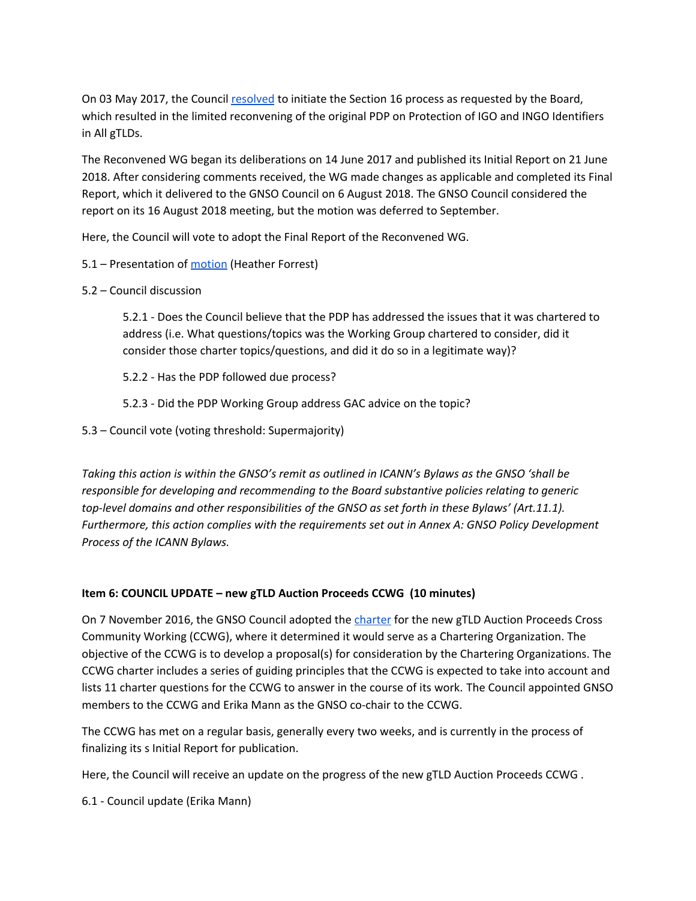On 03 May 2017, the Council [resolved](https://gnso.icann.org/en/council/resolutions#201705) to initiate the Section 16 process as requested by the Board, which resulted in the limited reconvening of the original PDP on Protection of IGO and INGO Identifiers in All gTLDs.

The Reconvened WG began its deliberations on 14 June 2017 and published its Initial Report on 21 June 2018. After considering comments received, the WG made changes as applicable and completed its Final Report, which it delivered to the GNSO Council on 6 August 2018. The GNSO Council considered the report on its 16 August 2018 meeting, but the motion was deferred to September.

Here, the Council will vote to adopt the Final Report of the Reconvened WG.

5.1 – Presentation of [motion](https://community.icann.org/x/IxlpBQ) (Heather Forrest)

#### 5.2 – Council discussion

5.2.1 - Does the Council believe that the PDP has addressed the issues that it was chartered to address (i.e. What questions/topics was the Working Group chartered to consider, did it consider those charter topics/questions, and did it do so in a legitimate way)?

5.2.2 - Has the PDP followed due process?

5.2.3 - Did the PDP Working Group address GAC advice on the topic?

5.3 – Council vote (voting threshold: Supermajority)

*Taking this action is within the GNSO's remit as outlined in ICANN's Bylaws as the GNSO 'shall be responsible for developing and recommending to the Board substantive policies relating to generic top-level domains and other responsibilities of the GNSO as set forth in these Bylaws' (Art.11.1). Furthermore, this action complies with the requirements set out in Annex A: GNSO Policy Development Process of the ICANN Bylaws.*

#### **Item 6: COUNCIL UPDATE – new gTLD Auction Proceeds CCWG (10 minutes)**

On 7 November 2016, the GNSO Council adopted the [charter](https://community.icann.org/x/DJjDAw) for the new gTLD Auction Proceeds Cross Community Working (CCWG), where it determined it would serve as a Chartering Organization. The objective of the CCWG is to develop a proposal(s) for consideration by the Chartering Organizations. The CCWG charter includes a series of guiding principles that the CCWG is expected to take into account and lists 11 charter questions for the CCWG to answer in the course of its work. The Council appointed GNSO members to the CCWG and Erika Mann as the GNSO co-chair to the CCWG.

The CCWG has met on a regular basis, generally every two weeks, and is currently in the process of finalizing its s Initial Report for publication.

Here, the Council will receive an update on the progress of the new gTLD Auction Proceeds CCWG .

6.1 - Council update (Erika Mann)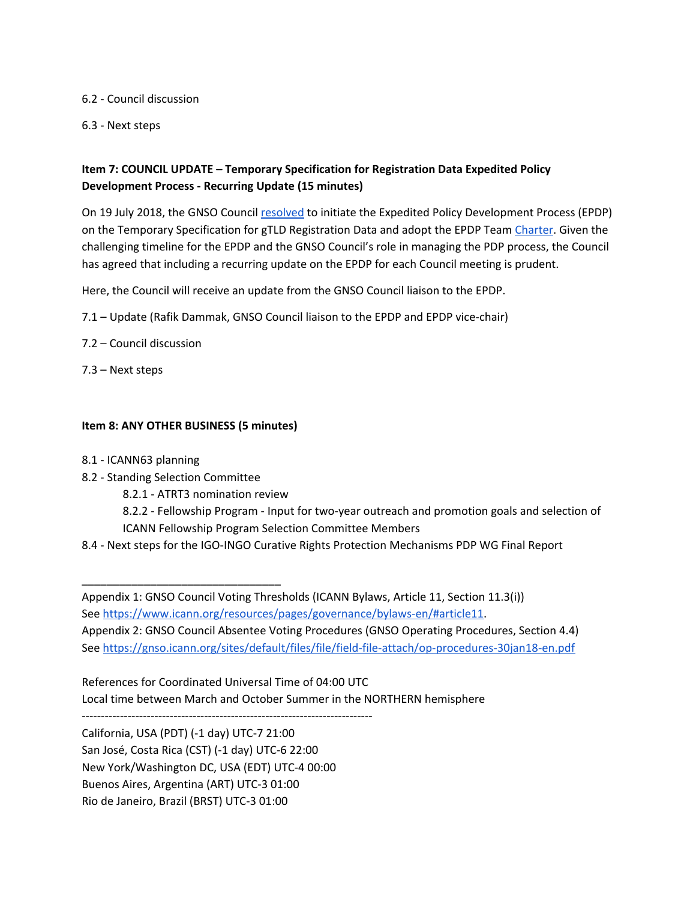6.2 - Council discussion

6.3 - Next steps

## **Item 7: COUNCIL UPDATE – Temporary Specification for Registration Data Expedited Policy Development Process - Recurring Update (15 minutes)**

On 19 July 2018, the GNSO Council [resolved](https://gnso.icann.org/en/council/resolutions#20180719-2) to initiate the Expedited Policy Development Process (EPDP) on the Temporary Specification for gTLD Registration Data and adopt the EPDP Team [Charter.](https://gnso.icann.org/sites/default/files/file/field-file-attach/temp-spec-gtld-rd-epdp-19jul18-en.pdf) Given the challenging timeline for the EPDP and the GNSO Council's role in managing the PDP process, the Council has agreed that including a recurring update on the EPDP for each Council meeting is prudent.

Here, the Council will receive an update from the GNSO Council liaison to the EPDP.

7.1 – Update (Rafik Dammak, GNSO Council liaison to the EPDP and EPDP vice-chair)

- 7.2 Council discussion
- 7.3 Next steps

## **Item 8: ANY OTHER BUSINESS (5 minutes)**

- 8.1 ICANN63 planning
- 8.2 Standing Selection Committee

\_\_\_\_\_\_\_\_\_\_\_\_\_\_\_\_\_\_\_\_\_\_\_\_\_\_\_\_\_\_\_\_

- 8.2.1 ATRT3 nomination review
- 8.2.2 Fellowship Program Input for two-year outreach and promotion goals and selection of ICANN Fellowship Program Selection Committee Members
- 8.4 Next steps for the IGO-INGO Curative Rights Protection Mechanisms PDP WG Final Report

Appendix 1: GNSO Council Voting Thresholds (ICANN Bylaws, Article 11, Section 11.3(i)) See [https://www.icann.org/resources/pages/governance/bylaws-en/#article11.](https://www.icann.org/resources/pages/governance/bylaws-en/#article11) Appendix 2: GNSO Council Absentee Voting Procedures (GNSO Operating Procedures, Section 4.4) See <https://gnso.icann.org/sites/default/files/file/field-file-attach/op-procedures-30jan18-en.pdf>

References for Coordinated Universal Time of 04:00 UTC Local time between March and October Summer in the NORTHERN hemisphere

California, USA (PDT) (-1 day) UTC-7 21:00 San José, Costa Rica (CST) (-1 day) UTC-6 22:00 New York/Washington DC, USA (EDT) UTC-4 00:00 Buenos Aires, Argentina (ART) UTC-3 01:00 Rio de Janeiro, Brazil (BRST) UTC-3 01:00

----------------------------------------------------------------------------